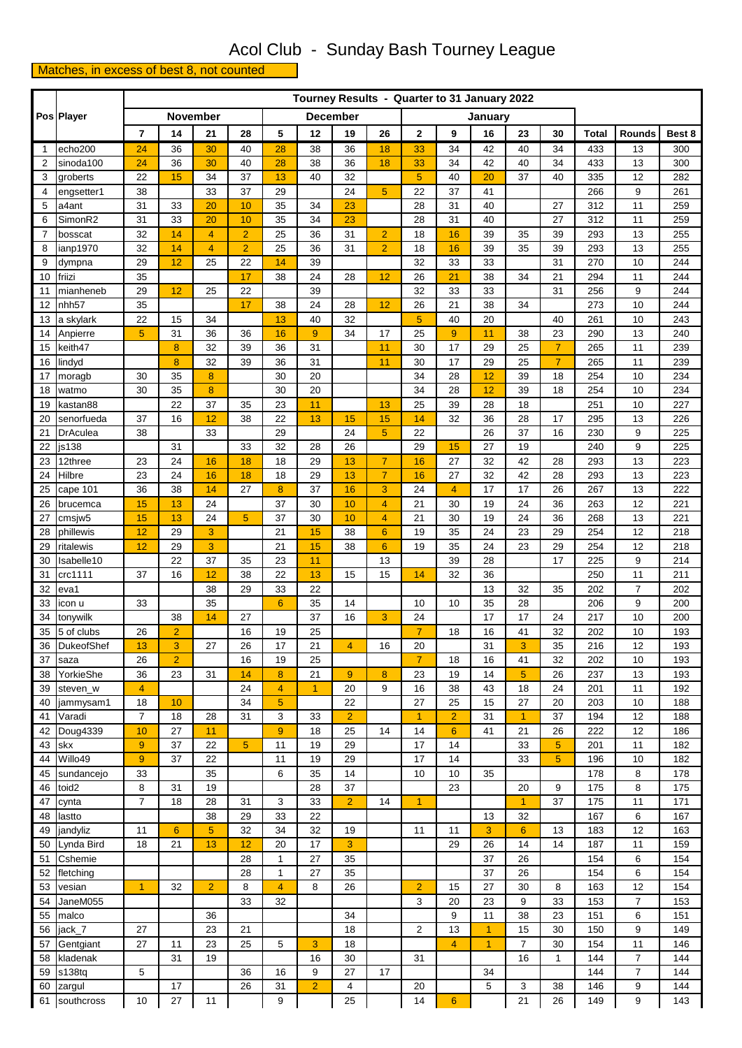## Acol Club - Sunday Bash Tourney League

## Matches, in excess of best 8, not counted

|                | Pos Player               |                | Tourney Results - Quarter to 31 January 2022 |                  |                      |                 |                |                 |                 |                      |                 |                |                      |                |              |                |            |
|----------------|--------------------------|----------------|----------------------------------------------|------------------|----------------------|-----------------|----------------|-----------------|-----------------|----------------------|-----------------|----------------|----------------------|----------------|--------------|----------------|------------|
|                |                          |                | <b>November</b>                              |                  |                      |                 |                | <b>December</b> |                 |                      |                 | January        |                      |                |              |                |            |
|                |                          | $\overline{7}$ | 14                                           | 21               | 28                   | 5               | 12             | 19              | 26              | 2                    | 9               | 16             | 23                   | 30             | <b>Total</b> | <b>Rounds</b>  | Best 8     |
| $\mathbf{1}$   | echo200                  | 24             | 36                                           | 30               | 40                   | 28              | 38             | 36              | 18              | 33                   | 34              | 42             | 40                   | 34             | 433          | 13             | 300        |
| $\overline{2}$ | sinoda100                | 24             | 36                                           | 30               | 40                   | 28              | 38             | 36              | 18              | 33                   | 34              | 42             | 40                   | 34             | 433          | 13             | 300        |
| 3              | groberts                 | 22             | 15                                           | 34               | 37                   | 13              | 40             | 32              |                 | 5                    | 40              | 20             | 37                   | 40             | 335          | 12             | 282        |
| 4              | engsetter1               | 38             |                                              | 33               | 37                   | 29              |                | 24              | 5               | 22                   | 37              | 41             |                      |                | 266          | 9              | 261        |
| 5              | a4ant                    | 31             | 33                                           | 20               | 10                   | 35              | 34             | 23              |                 | 28                   | 31              | 40             |                      | 27             | 312          | 11             | 259        |
| 6              | SimonR2                  | 31             | 33                                           | 20               | 10                   | 35              | 34             | 23              |                 | 28                   | 31              | 40             |                      | 27             | 312          | 11             | 259        |
| 7              | bosscat                  | 32             | 14                                           | 4                | $\overline{2}$       | 25              | 36             | 31              | $\overline{2}$  | 18                   | 16              | 39             | 35                   | 39             | 293          | 13             | 255        |
| 8<br>9         | ianp1970<br>dympna       | 32<br>29       | 14<br>12                                     | 4<br>25          | $\overline{2}$<br>22 | 25<br>14        | 36<br>39       | 31              | $\overline{2}$  | 18<br>32             | 16<br>33        | 39<br>33       | 35                   | 39<br>31       | 293<br>270   | 13<br>10       | 255<br>244 |
| 10             | friizi                   | 35             |                                              |                  | 17                   | 38              | 24             | 28              | 12              | 26                   | 21              | 38             | 34                   | 21             | 294          | 11             | 244        |
| 11             | mianheneb                | 29             | 12                                           | 25               | 22                   |                 | 39             |                 |                 | 32                   | 33              | 33             |                      | 31             | 256          | 9              | 244        |
| 12             | nhh <sub>57</sub>        | 35             |                                              |                  | 17                   | 38              | 24             | 28              | 12              | 26                   | 21              | 38             | 34                   |                | 273          | 10             | 244        |
| 13             | a skylark                | 22             | 15                                           | 34               |                      | 13              | 40             | 32              |                 | 5                    | 40              | 20             |                      | 40             | 261          | 10             | 243        |
| 14             | Anpierre                 | 5              | 31                                           | 36               | 36                   | 16              | 9              | 34              | 17              | 25                   | $\overline{9}$  | 11             | 38                   | 23             | 290          | 13             | 240        |
| 15             | keith47                  |                | 8                                            | 32               | 39                   | 36              | 31             |                 | 11              | 30                   | 17              | 29             | 25                   | $\overline{7}$ | 265          | 11             | 239        |
| 16             | lindyd                   |                | $\bf{8}$                                     | 32               | 39                   | 36              | 31             |                 | 11              | 30                   | 17              | 29             | 25                   | $\overline{7}$ | 265          | 11             | 239        |
| 17             | moragb                   | 30             | 35                                           | 8                |                      | 30              | 20             |                 |                 | 34                   | 28              | 12             | 39                   | 18             | 254          | 10             | 234        |
| 18             | watmo                    | 30             | 35                                           | $\boldsymbol{8}$ |                      | 30              | 20             |                 |                 | 34                   | 28              | 12             | 39                   | 18             | 254          | 10             | 234        |
| 19             | kastan88                 |                | 22                                           | 37               | 35                   | 23              | 11             |                 | 13              | 25                   | 39              | 28             | 18                   |                | 251          | 10             | 227        |
| 20             | senorfueda               | 37             | 16                                           | 12               | 38                   | 22              | 13             | 15              | 15              | 14                   | 32              | 36             | 28                   | 17             | 295          | 13             | 226        |
| 21<br>22       | <b>DrAculea</b><br>js138 | 38             | 31                                           | 33               | 33                   | 29<br>32        | 28             | 24<br>26        | $\overline{5}$  | 22<br>29             | 15              | 26<br>27       | 37<br>19             | 16             | 230<br>240   | 9<br>9         | 225<br>225 |
| 23             | 12three                  | 23             | 24                                           | 16               | 18                   | 18              | 29             | 13              | $\overline{7}$  | 16                   | 27              | 32             | 42                   | 28             | 293          | 13             | 223        |
| 24             | Hilbre                   | 23             | 24                                           | 16               | 18                   | 18              | 29             | 13              | $\overline{7}$  | 16                   | 27              | 32             | 42                   | 28             | 293          | 13             | 223        |
| 25             | cape 101                 | 36             | 38                                           | 14               | 27                   | 8               | 37             | 16              | 3               | 24                   | 4               | 17             | 17                   | 26             | 267          | 13             | 222        |
| 26             | brucemca                 | 15             | 13                                           | 24               |                      | 37              | 30             | 10              | $\overline{4}$  | 21                   | 30              | 19             | 24                   | 36             | 263          | 12             | 221        |
| 27             | cmsjw5                   | 15             | 13                                           | 24               | 5                    | 37              | 30             | 10              | $\overline{4}$  | 21                   | 30              | 19             | 24                   | 36             | 268          | 13             | 221        |
| 28             | phillewis                | 12             | 29                                           | 3                |                      | 21              | 15             | 38              | $6\phantom{1}6$ | 19                   | 35              | 24             | 23                   | 29             | 254          | 12             | 218        |
| 29             | ritalewis                | 12             | 29                                           | 3                |                      | 21              | 15             | 38              | $6\phantom{1}$  | 19                   | 35              | 24             | 23                   | 29             | 254          | 12             | 218        |
| 30             | Isabelle10               |                | 22                                           | 37               | 35                   | 23              | 11             |                 | 13              |                      | 39              | 28             |                      | 17             | 225          | 9              | 214        |
| 31             | crc1111                  | 37             | 16                                           | 12               | 38                   | 22              | 13             | 15              | 15              | 14                   | 32              | 36             |                      |                | 250          | 11             | 211        |
| 32             | eva1                     |                |                                              | 38               | 29                   | 33              | 22             |                 |                 |                      |                 | 13             | 32                   | 35             | 202          | $\overline{7}$ | 202        |
| 33             | icon u                   | 33             |                                              | 35               |                      | $6\phantom{1}6$ | 35             | 14              |                 | 10                   | 10              | 35             | 28                   |                | 206          | 9              | 200        |
| 34             | tonywilk                 |                | 38                                           | 14               | 27                   |                 | 37             | 16              | 3               | 24                   |                 | 17             | 17                   | 24             | 217          | 10             | 200        |
| 35<br>36       | 5 of clubs<br>DukeofShef | 26             | $\overline{2}$<br>3                          | 27               | 16<br>26             | 19<br>$17$      | 25<br>21       |                 | 16              | $\overline{7}$<br>20 | 18              | 16<br>31       | 41                   | 32<br>35       | 202<br>216   | 10<br>12       | 193<br>193 |
| 37             | saza                     | 13<br>26       | $\overline{2}$                               |                  | 16                   | 19              | 25             | 4               |                 | $\overline{7}$       | 18              | 16             | 3<br>41              | 32             | 202          | 10             | 193        |
| 38             | YorkieShe                | 36             | 23                                           | 31               | 14                   | 8               | 21             | 9               | 8               | 23                   | 19              | 14             | 5                    | 26             | 237          | 13             | 193        |
| 39             | steven_w                 | $\overline{4}$ |                                              |                  | 24                   | $\overline{4}$  | $\overline{1}$ | 20              | 9               | 16                   | 38              | 43             | 18                   | 24             | 201          | 11             | 192        |
| 40             | jammysam1                | 18             | 10                                           |                  | 34                   | $\overline{5}$  |                | 22              |                 | 27                   | 25              | 15             | 27                   | 20             | 203          | 10             | 188        |
| 41             | Varadi                   | $\overline{7}$ | 18                                           | 28               | 31                   | 3               | 33             | $\overline{2}$  |                 | $\mathbf{1}$         | $\overline{2}$  | 31             | $\mathbf{1}$         | 37             | 194          | 12             | 188        |
| 42             | Doug4339                 | 10             | 27                                           | 11               |                      | 9               | 18             | 25              | 14              | 14                   | $6\phantom{1}$  | 41             | 21                   | 26             | 222          | 12             | 186        |
| 43             | skx                      | 9              | 37                                           | 22               | $\overline{5}$       | 11              | 19             | 29              |                 | 17                   | 14              |                | 33                   | 5              | 201          | 11             | 182        |
| 44             | Willo49                  | 9              | 37                                           | 22               |                      | 11              | 19             | 29              |                 | 17                   | 14              |                | 33                   | 5              | 196          | 10             | 182        |
| 45             | sundancejo               | 33             |                                              | 35               |                      | 6               | 35             | 14              |                 | 10                   | 10              | 35             |                      |                | 178          | 8              | 178        |
| 46             | toid <sub>2</sub>        | 8              | 31                                           | 19               |                      |                 | 28             | 37              |                 |                      | 23              |                | 20                   | 9              | 175          | 8              | 175        |
| 47             | cynta                    | $\overline{7}$ | 18                                           | 28               | 31                   | 3               | 33             | $\overline{2}$  | 14              | $\overline{1}$       |                 |                | $\mathbf{1}$         | 37             | 175          | 11             | 171        |
| 48             | lastto                   |                |                                              | 38               | 29                   | 33              | 22             |                 |                 |                      |                 | 13             | 32                   |                | 167          | 6              | 167        |
| 49             | jandyliz                 | 11<br>18       | $6\phantom{a}$<br>21                         | 5<br>13          | 32<br>12             | 34              | 32<br>17       | 19<br>3         |                 | 11                   | 11<br>29        | 3              | $6\phantom{1}$<br>14 | 13<br>14       | 183          | 12<br>11       | 163        |
| 50<br>51       | Lynda Bird<br>Cshemie    |                |                                              |                  | 28                   | 20<br>1         | 27             | 35              |                 |                      |                 | 26<br>37       | 26                   |                | 187<br>154   | 6              | 159<br>154 |
| 52             | fletching                |                |                                              |                  | 28                   | 1               | 27             | 35              |                 |                      |                 | 37             | 26                   |                | 154          | 6              | 154        |
| 53             | vesian                   | $\overline{1}$ | 32                                           | $\overline{2}$   | 8                    | $\overline{4}$  | 8              | 26              |                 | $\overline{2}$       | 15              | 27             | 30                   | 8              | 163          | 12             | 154        |
| 54             | JaneM055                 |                |                                              |                  | 33                   | 32              |                |                 |                 | 3                    | 20              | 23             | 9                    | 33             | 153          | $\overline{7}$ | 153        |
| 55             | malco                    |                |                                              | 36               |                      |                 |                | 34              |                 |                      | 9               | 11             | 38                   | 23             | 151          | 6              | 151        |
| 56             | jack_7                   | 27             |                                              | 23               | 21                   |                 |                | 18              |                 | 2                    | 13              | $\mathbf{1}$   | 15                   | 30             | 150          | 9              | 149        |
| 57             | Gentgiant                | 27             | 11                                           | 23               | 25                   | 5               | 3              | 18              |                 |                      | $\overline{4}$  | $\overline{1}$ | $\overline{7}$       | 30             | 154          | 11             | 146        |
| 58             | kladenak                 |                | 31                                           | 19               |                      |                 | 16             | 30              |                 | 31                   |                 |                | 16                   | 1              | 144          | $\overline{7}$ | 144        |
| 59             | s138tq                   | 5              |                                              |                  | 36                   | 16              | 9              | 27              | 17              |                      |                 | 34             |                      |                | 144          | $\overline{7}$ | 144        |
| 60             | zargul                   |                | 17                                           |                  | 26                   | 31              | $\overline{2}$ | 4               |                 | 20                   |                 | 5              | 3                    | 38             | 146          | 9              | 144        |
| 61             | southcross               | 10             | 27                                           | 11               |                      | 9               |                | 25              |                 | 14                   | $6\phantom{1}6$ |                | 21                   | 26             | 149          | 9              | 143        |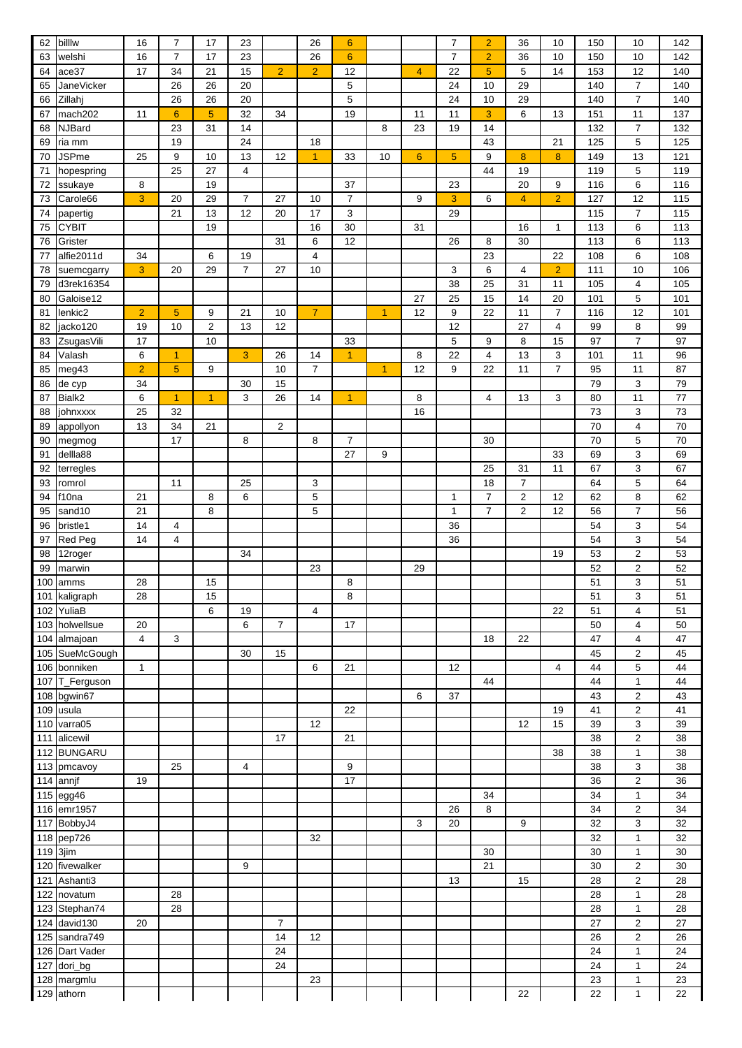| 62  | billw             | 16             | $\overline{7}$ | 17             | 23             |                | 26             | $6\phantom{1}6$ |                |                | $\overline{7}$ | $\overline{2}$ | 36             | 10             | 150 | 10                      | 142 |
|-----|-------------------|----------------|----------------|----------------|----------------|----------------|----------------|-----------------|----------------|----------------|----------------|----------------|----------------|----------------|-----|-------------------------|-----|
| 63  | welshi            | 16             | $\overline{7}$ | 17             | 23             |                | 26             | $6\phantom{1}6$ |                |                | $\overline{7}$ | $\overline{2}$ | 36             | 10             | 150 | 10                      | 142 |
| 64  | ace37             | 17             | 34             | 21             | 15             | $\overline{2}$ | $\overline{2}$ | 12              |                | $\overline{4}$ | 22             | 5              | 5              | 14             | 153 | 12                      | 140 |
|     |                   |                | 26             | 26             | 20             |                |                | 5               |                |                | 24             | 10             | 29             |                | 140 | $\overline{7}$          |     |
| 65  | <b>JaneVicker</b> |                |                |                |                |                |                |                 |                |                |                |                |                |                |     |                         | 140 |
| 66  | Zillahj           |                | 26             | 26             | 20             |                |                | 5               |                |                | 24             | 10             | 29             |                | 140 | $\overline{7}$          | 140 |
| 67  | mach202           | 11             | $6\phantom{1}$ | 5              | 32             | 34             |                | 19              |                | 11             | 11             | 3              | 6              | 13             | 151 | 11                      | 137 |
| 68  | <b>NJBard</b>     |                | 23             | 31             | 14             |                |                |                 | 8              | 23             | 19             | 14             |                |                | 132 | $\overline{7}$          | 132 |
| 69  | ria mm            |                | 19             |                | 24             |                | 18             |                 |                |                |                | 43             |                | 21             | 125 | 5                       | 125 |
| 70  | <b>JSPme</b>      | 25             | 9              | 10             | 13             | 12             | $\overline{1}$ | 33              | 10             | $6\phantom{1}$ | $\overline{5}$ | 9              | 8              | $\bf 8$        | 149 | 13                      | 121 |
| 71  | hopespring        |                | 25             | 27             | 4              |                |                |                 |                |                |                | 44             | 19             |                | 119 | 5                       | 119 |
| 72  | ssukaye           | 8              |                | 19             |                |                |                | 37              |                |                | 23             |                | 20             | 9              | 116 | 6                       | 116 |
| 73  | Carole66          | 3              | 20             | 29             | $\overline{7}$ | 27             | 10             | 7               |                | 9              | 3              | 6              | $\overline{4}$ | $\overline{2}$ | 127 | 12                      | 115 |
|     |                   |                | 21             | 13             | 12             | 20             | 17             | 3               |                |                |                |                |                |                | 115 | $\overline{7}$          |     |
| 74  | papertig          |                |                |                |                |                |                |                 |                |                | 29             |                |                |                |     |                         | 115 |
| 75  | <b>CYBIT</b>      |                |                | 19             |                |                | 16             | 30              |                | 31             |                |                | 16             | $\mathbf{1}$   | 113 | 6                       | 113 |
| 76  | Grister           |                |                |                |                | 31             | 6              | 12              |                |                | 26             | 8              | 30             |                | 113 | 6                       | 113 |
| 77  | alfie2011d        | 34             |                | 6              | 19             |                | $\overline{4}$ |                 |                |                |                | 23             |                | 22             | 108 | 6                       | 108 |
| 78  | suemcgarry        | 3              | 20             | 29             | $\overline{7}$ | 27             | 10             |                 |                |                | 3              | 6              | $\overline{4}$ | $\overline{2}$ | 111 | 10                      | 106 |
| 79  | d3rek16354        |                |                |                |                |                |                |                 |                |                | 38             | 25             | 31             | 11             | 105 | $\overline{\mathbf{4}}$ | 105 |
| 80  | Galoise12         |                |                |                |                |                |                |                 |                | 27             | 25             | 15             | 14             | 20             | 101 | 5                       | 101 |
| 81  | lenkic2           | $\overline{c}$ | $\sqrt{5}$     | 9              | 21             | 10             | $\overline{7}$ |                 | $\overline{1}$ | 12             | 9              | 22             | 11             | $\overline{7}$ | 116 | 12                      | 101 |
| 82  | jacko120          | 19             | 10             | 2              | 13             | 12             |                |                 |                |                | 12             |                | 27             | 4              | 99  | 8                       | 99  |
|     |                   | 17             |                | 10             |                |                |                |                 |                |                | 5              | 9              | 8              | 15             | 97  | $\overline{7}$          |     |
| 83  | ZsugasVili        |                |                |                |                |                |                | 33              |                |                |                |                |                |                |     |                         | 97  |
| 84  | Valash            | 6              | 1              |                | 3              | 26             | 14             | $\overline{1}$  |                | 8              | 22             | $\overline{4}$ | 13             | 3              | 101 | 11                      | 96  |
| 85  | meg43             | $\overline{2}$ | $\overline{5}$ | 9              |                | 10             | $\overline{7}$ |                 | $\overline{1}$ | 12             | 9              | 22             | 11             | $\overline{7}$ | 95  | 11                      | 87  |
| 86  | de cyp            | 34             |                |                | 30             | 15             |                |                 |                |                |                |                |                |                | 79  | 3                       | 79  |
| 87  | Bialk2            | 6              | $\overline{1}$ | $\overline{1}$ | 3              | 26             | 14             | $\overline{1}$  |                | 8              |                | $\overline{4}$ | 13             | 3              | 80  | 11                      | 77  |
| 88  | johnxxxx          | 25             | 32             |                |                |                |                |                 |                | 16             |                |                |                |                | 73  | 3                       | 73  |
| 89  | appollyon         | 13             | 34             | 21             |                | $\overline{2}$ |                |                 |                |                |                |                |                |                | 70  | $\overline{\mathbf{4}}$ | 70  |
| 90  | megmog            |                | 17             |                | 8              |                | 8              | $\overline{7}$  |                |                |                | 30             |                |                | 70  | 5                       | 70  |
| 91  | dellla88          |                |                |                |                |                |                | 27              | 9              |                |                |                |                | 33             | 69  | 3                       | 69  |
|     |                   |                |                |                |                |                |                |                 |                |                |                |                |                | 11             | 67  | 3                       | 67  |
| 92  | terregles         |                |                |                |                |                |                |                 |                |                |                | 25             | 31             |                |     |                         |     |
| 93  | romrol            |                | 11             |                | 25             |                | 3              |                 |                |                |                | 18             | $\overline{7}$ |                | 64  | 5                       | 64  |
| 94  | f10na             | 21             |                | 8              | 6              |                | 5              |                 |                |                | 1              | $\overline{7}$ | $\overline{2}$ | 12             | 62  | 8                       | 62  |
| 95  | sand10            | 21             |                | 8              |                |                | 5              |                 |                |                | $\mathbf{1}$   | $\overline{7}$ | $\overline{2}$ | 12             | 56  | $\overline{7}$          | 56  |
| 96  | bristle1          | 14             | 4              |                |                |                |                |                 |                |                | 36             |                |                |                | 54  | 3                       | 54  |
| 97  | <b>Red Peg</b>    | 14             | 4              |                |                |                |                |                 |                |                | 36             |                |                |                | 54  | 3                       | 54  |
| 98  | 12roger           |                |                |                | 34             |                |                |                 |                |                |                |                |                | 19             | 53  | $\boldsymbol{2}$        | 53  |
| 99  | marwin            |                |                |                |                |                | 23             |                 |                | 29             |                |                |                |                | 52  | $\boldsymbol{2}$        | 52  |
| 100 | amms              | 28             |                | 15             |                |                |                | 8               |                |                |                |                |                |                | 51  | 3                       | 51  |
|     |                   |                |                |                |                |                |                |                 |                |                |                |                |                |                |     |                         |     |
|     | 101 kaligraph     | 28             |                | 15             |                |                |                | 8               |                |                |                |                |                |                | 51  | 3                       | 51  |
|     | 102 YuliaB        |                |                | 6              | 19             |                | $\overline{4}$ |                 |                |                |                |                |                | 22             | 51  | $\overline{4}$          | 51  |
|     | 103 holwellsue    | 20             |                |                | 6              | $\overline{7}$ |                | 17              |                |                |                |                |                |                | 50  | $\overline{4}$          | 50  |
|     | 104 almajoan      | $\overline{4}$ | 3              |                |                |                |                |                 |                |                |                | 18             | 22             |                | 47  | 4                       | 47  |
|     | 105 SueMcGough    |                |                |                | 30             | 15             |                |                 |                |                |                |                |                |                | 45  | $\overline{2}$          | 45  |
|     | 106 bonniken      | $\mathbf{1}$   |                |                |                |                | 6              | 21              |                |                | 12             |                |                | 4              | 44  | 5                       | 44  |
| 107 | T_Ferguson        |                |                |                |                |                |                |                 |                |                |                | 44             |                |                | 44  | $\mathbf{1}$            | 44  |
|     | 108 bgwin67       |                |                |                |                |                |                |                 |                | 6              | 37             |                |                |                | 43  | $\overline{2}$          | 43  |
|     | 109 usula         |                |                |                |                |                |                | 22              |                |                |                |                |                | 19             | 41  | $\overline{2}$          | 41  |
| 110 | varra05           |                |                |                |                |                | 12             |                 |                |                |                |                | 12             | 15             | 39  | 3                       | 39  |
|     |                   |                |                |                |                |                |                |                 |                |                |                |                |                |                |     |                         |     |
| 111 | alicewil          |                |                |                |                | 17             |                | 21              |                |                |                |                |                |                | 38  | $\overline{2}$          | 38  |
| 112 | <b>BUNGARU</b>    |                |                |                |                |                |                |                 |                |                |                |                |                | 38             | 38  | 1                       | 38  |
|     | 113 pmcavoy       |                | 25             |                | 4              |                |                | 9               |                |                |                |                |                |                | 38  | 3                       | 38  |
|     | 114 annjf         | 19             |                |                |                |                |                | 17              |                |                |                |                |                |                | 36  | $\overline{2}$          | 36  |
|     | 115 egg46         |                |                |                |                |                |                |                 |                |                |                | 34             |                |                | 34  | $\mathbf{1}$            | 34  |
|     | 116 emr1957       |                |                |                |                |                |                |                 |                |                | 26             | 8              |                |                | 34  | $\boldsymbol{2}$        | 34  |
|     | 117 BobbyJ4       |                |                |                |                |                |                |                 |                | 3              | 20             |                | 9              |                | 32  | 3                       | 32  |
|     | 118 pep726        |                |                |                |                |                | 32             |                 |                |                |                |                |                |                | 32  | $\mathbf{1}$            | 32  |
|     | 119 3jim          |                |                |                |                |                |                |                 |                |                |                | 30             |                |                | 30  | $\mathbf{1}$            | 30  |
| 120 | fivewalker        |                |                |                |                |                |                |                 |                |                |                | 21             |                |                | 30  |                         | 30  |
|     |                   |                |                |                | 9              |                |                |                 |                |                |                |                |                |                |     | $\boldsymbol{2}$        |     |
| 121 | Ashanti3          |                |                |                |                |                |                |                 |                |                | 13             |                | 15             |                | 28  | $\overline{2}$          | 28  |
| 122 | novatum           |                | 28             |                |                |                |                |                 |                |                |                |                |                |                | 28  | $\mathbf{1}$            | 28  |
|     | 123 Stephan74     |                | 28             |                |                |                |                |                 |                |                |                |                |                |                | 28  | $\mathbf{1}$            | 28  |
|     | 124 david130      | 20             |                |                |                | $\overline{7}$ |                |                 |                |                |                |                |                |                | 27  | $\overline{2}$          | 27  |
|     | 125 sandra749     |                |                |                |                | 14             | 12             |                 |                |                |                |                |                |                | 26  | $\boldsymbol{2}$        | 26  |
| 126 | Dart Vader        |                |                |                |                | 24             |                |                 |                |                |                |                |                |                | 24  | $\mathbf{1}$            | 24  |
| 127 | dori_bg           |                |                |                |                | 24             |                |                 |                |                |                |                |                |                | 24  | $\mathbf{1}$            | 24  |
|     | 128 margmlu       |                |                |                |                |                | 23             |                 |                |                |                |                |                |                | 23  | $\mathbf{1}$            | 23  |
|     |                   |                |                |                |                |                |                |                 |                |                |                |                |                |                |     |                         |     |
|     | 129 athorn        |                |                |                |                |                |                |                 |                |                |                |                | 22             |                | 22  | $\mathbf{1}$            | 22  |